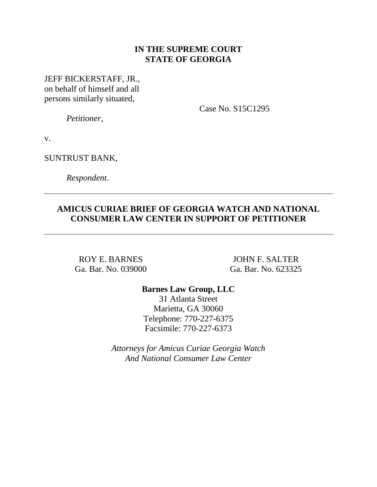## **IN THE SUPREME COURT STATE OF GEORGIA**

JEFF BICKERSTAFF, JR., on behalf of himself and all persons similarly situated,

Case No. S15C1295

*Petitioner*,

v.

SUNTRUST BANK,

*Respondent*.

## **AMICUS CURIAE BRIEF OF GEORGIA WATCH AND NATIONAL CONSUMER LAW CENTER IN SUPPORT OF PETITIONER**

ROY E. BARNES Ga. Bar. No. 039000

JOHN F. SALTER Ga. Bar. No. 623325

## **Barnes Law Group, LLC**

31 Atlanta Street Marietta, GA 30060 Telephone: 770-227-6375 Facsimile: 770-227-6373

*Attorneys for Amicus Curiae Georgia Watch And National Consumer Law Center*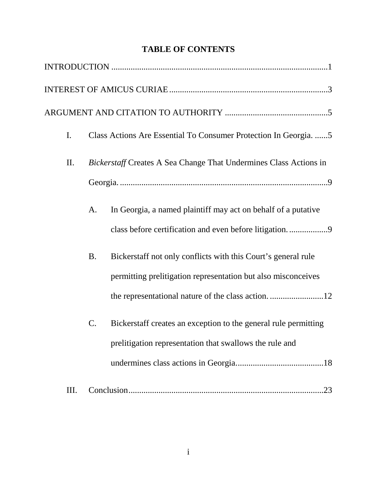# **TABLE OF CONTENTS**

| I. |           | Class Actions Are Essential To Consumer Protection In Georgia. 5  |
|----|-----------|-------------------------------------------------------------------|
| П. |           | Bickerstaff Creates A Sea Change That Undermines Class Actions in |
|    |           |                                                                   |
|    | A.        | In Georgia, a named plaintiff may act on behalf of a putative     |
|    |           |                                                                   |
|    | <b>B.</b> | Bickerstaff not only conflicts with this Court's general rule     |
|    |           | permitting prelitigation representation but also misconceives     |
|    |           |                                                                   |
|    | C.        | Bickerstaff creates an exception to the general rule permitting   |
|    |           | prelitigation representation that swallows the rule and           |
|    |           |                                                                   |
| Ш. |           |                                                                   |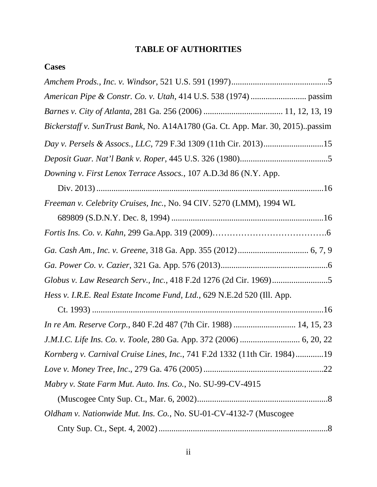# **TABLE OF AUTHORITIES**

## **Cases**

| Bickerstaff v. SunTrust Bank, No. A14A1780 (Ga. Ct. App. Mar. 30, 2015)passim |  |
|-------------------------------------------------------------------------------|--|
| Day v. Persels & Assocs., LLC, 729 F.3d 1309 (11th Cir. 2013)15               |  |
|                                                                               |  |
| Downing v. First Lenox Terrace Assocs., 107 A.D.3d 86 (N.Y. App.              |  |
|                                                                               |  |
| Freeman v. Celebrity Cruises, Inc., No. 94 CIV. 5270 (LMM), 1994 WL           |  |
|                                                                               |  |
|                                                                               |  |
|                                                                               |  |
|                                                                               |  |
|                                                                               |  |
| Hess v. I.R.E. Real Estate Income Fund, Ltd., 629 N.E.2d 520 (Ill. App.       |  |
|                                                                               |  |
| In re Am. Reserve Corp., 840 F.2d 487 (7th Cir. 1988)  14, 15, 23             |  |
|                                                                               |  |
| Kornberg v. Carnival Cruise Lines, Inc., 741 F.2d 1332 (11th Cir. 1984)19     |  |
|                                                                               |  |
| Mabry v. State Farm Mut. Auto. Ins. Co., No. SU-99-CV-4915                    |  |
|                                                                               |  |
| Oldham v. Nationwide Mut. Ins. Co., No. SU-01-CV-4132-7 (Muscogee             |  |
|                                                                               |  |
|                                                                               |  |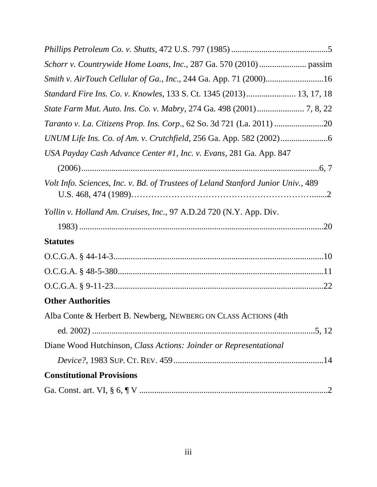| Smith v. AirTouch Cellular of Ga., Inc., 244 Ga. App. 71 (2000)16                 |
|-----------------------------------------------------------------------------------|
| Standard Fire Ins. Co. v. Knowles, 133 S. Ct. 1345 (2013) 13, 17, 18              |
|                                                                                   |
|                                                                                   |
|                                                                                   |
| USA Payday Cash Advance Center #1, Inc. v. Evans, 281 Ga. App. 847                |
|                                                                                   |
| Volt Info. Sciences, Inc. v. Bd. of Trustees of Leland Stanford Junior Univ., 489 |
| Yollin v. Holland Am. Cruises, Inc., 97 A.D.2d 720 (N.Y. App. Div.                |
|                                                                                   |
| <b>Statutes</b>                                                                   |
|                                                                                   |
|                                                                                   |
|                                                                                   |
| <b>Other Authorities</b>                                                          |
| Alba Conte & Herbert B. Newberg, NEWBERG ON CLASS ACTIONS (4th                    |
|                                                                                   |
| Diane Wood Hutchinson, Class Actions: Joinder or Representational                 |
|                                                                                   |
| <b>Constitutional Provisions</b>                                                  |
|                                                                                   |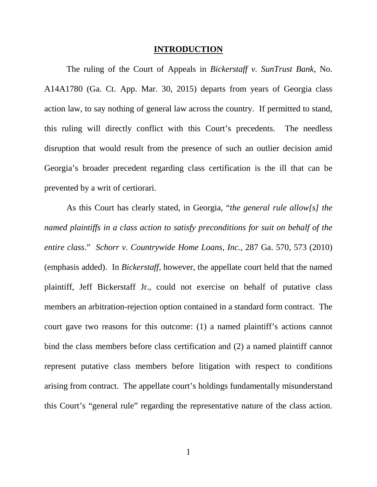#### **INTRODUCTION**

<span id="page-4-0"></span>The ruling of the Court of Appeals in *Bickerstaff v. SunTrust Bank*, No. A14A1780 (Ga. Ct. App. Mar. 30, 2015) departs from years of Georgia class action law, to say nothing of general law across the country. If permitted to stand, this ruling will directly conflict with this Court's precedents. The needless disruption that would result from the presence of such an outlier decision amid Georgia's broader precedent regarding class certification is the ill that can be prevented by a writ of certiorari.

As this Court has clearly stated, in Georgia, "*the general rule allow[s] the named plaintiffs in a class action to satisfy preconditions for suit on behalf of the entire class*." *Schorr v. Countrywide Home Loans, Inc.*, 287 Ga. 570, 573 (2010) (emphasis added). In *Bickerstaff*, however, the appellate court held that the named plaintiff, Jeff Bickerstaff Jr., could not exercise on behalf of putative class members an arbitration-rejection option contained in a standard form contract. The court gave two reasons for this outcome: (1) a named plaintiff's actions cannot bind the class members before class certification and (2) a named plaintiff cannot represent putative class members before litigation with respect to conditions arising from contract. The appellate court's holdings fundamentally misunderstand this Court's "general rule" regarding the representative nature of the class action.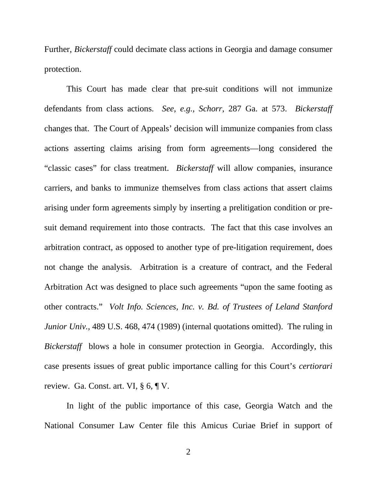Further, *Bickerstaff* could decimate class actions in Georgia and damage consumer protection.

This Court has made clear that pre-suit conditions will not immunize defendants from class actions. *See, e.g.*, *Schorr*, 287 Ga. at 573. *Bickerstaff*  changes that. The Court of Appeals' decision will immunize companies from class actions asserting claims arising from form agreements—long considered the "classic cases" for class treatment. *Bickerstaff* will allow companies, insurance carriers, and banks to immunize themselves from class actions that assert claims arising under form agreements simply by inserting a prelitigation condition or presuit demand requirement into those contracts. The fact that this case involves an arbitration contract, as opposed to another type of pre-litigation requirement, does not change the analysis. Arbitration is a creature of contract, and the Federal Arbitration Act was designed to place such agreements "upon the same footing as other contracts." *Volt Info. Sciences, Inc. v. Bd. of Trustees of Leland Stanford Junior Univ.,* 489 U.S. 468, 474 (1989) (internal quotations omitted). The ruling in *Bickerstaff* blows a hole in consumer protection in Georgia. Accordingly, this case presents issues of great public importance calling for this Court's *certiorari* review. Ga. Const. art. VI, § 6, ¶ V.

In light of the public importance of this case, Georgia Watch and the National Consumer Law Center file this Amicus Curiae Brief in support of

2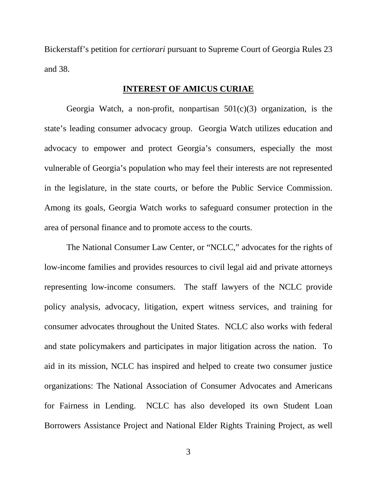Bickerstaff's petition for *certiorari* pursuant to Supreme Court of Georgia Rules 23 and 38.

#### **INTEREST OF AMICUS CURIAE**

<span id="page-6-0"></span>Georgia Watch, a non-profit, nonpartisan  $501(c)(3)$  organization, is the state's leading consumer advocacy group. Georgia Watch utilizes education and advocacy to empower and protect Georgia's consumers, especially the most vulnerable of Georgia's population who may feel their interests are not represented in the legislature, in the state courts, or before the Public Service Commission. Among its goals, Georgia Watch works to safeguard consumer protection in the area of personal finance and to promote access to the courts.

The National Consumer Law Center, or "NCLC," advocates for the rights of low-income families and provides resources to civil legal aid and private attorneys representing low-income consumers. The staff lawyers of the NCLC provide policy analysis, advocacy, litigation, expert witness services, and training for consumer advocates throughout the United States. NCLC also works with federal and state policymakers and participates in major litigation across the nation. To aid in its mission, NCLC has inspired and helped to create two consumer justice organizations: The [National Association of Consumer Advocates](http://www.naca.net/) and Americans for Fairness in Lending. NCLC has also developed its own [Student Loan](http://www.studentloanborrowerassistance.org/)  [Borrowers Assistance Project](http://www.studentloanborrowerassistance.org/) and [National Elder Rights Training Project,](http://www.nclc.org/conferences-training/national-elder-rights-training-project.html) as well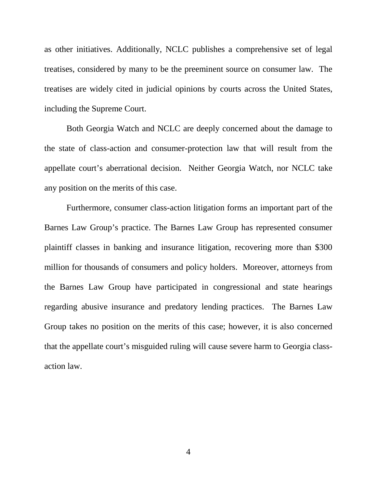as other [initiatives.](http://www.nclc.org/special-projects/special-projects.html) Additionally, [NCLC publishes a comprehensive set of legal](http://shop.consumerlaw.org/)  [treatises,](http://shop.consumerlaw.org/) considered by many to be the preeminent source on consumer law. The treatises are widely cited in judicial opinions by courts across the United States, including the Supreme Court.

Both Georgia Watch and NCLC are deeply concerned about the damage to the state of class-action and consumer-protection law that will result from the appellate court's aberrational decision. Neither Georgia Watch, nor NCLC take any position on the merits of this case.

Furthermore, consumer class-action litigation forms an important part of the Barnes Law Group's practice. The Barnes Law Group has represented consumer plaintiff classes in banking and insurance litigation, recovering more than \$300 million for thousands of consumers and policy holders. Moreover, attorneys from the Barnes Law Group have participated in congressional and state hearings regarding abusive insurance and predatory lending practices. The Barnes Law Group takes no position on the merits of this case; however, it is also concerned that the appellate court's misguided ruling will cause severe harm to Georgia classaction law.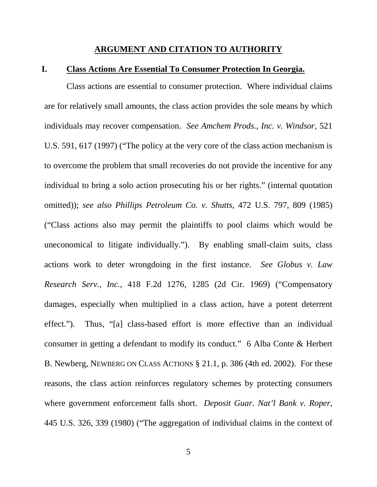#### **ARGUMENT AND CITATION TO AUTHORITY**

#### <span id="page-8-1"></span><span id="page-8-0"></span>**I. Class Actions Are Essential To Consumer Protection In Georgia.**

Class actions are essential to consumer protection. Where individual claims are for relatively small amounts, the class action provides the sole means by which individuals may recover compensation. *See Amchem Prods., Inc. v. Windsor*, 521 U.S. 591, 617 (1997) ("The policy at the very core of the class action mechanism is to overcome the problem that small recoveries do not provide the incentive for any individual to bring a solo action prosecuting his or her rights." (internal quotation omitted)); *see also Phillips Petroleum Co. v. Shutts*, 472 U.S. 797, 809 (1985) ("Class actions also may permit the plaintiffs to pool claims which would be uneconomical to litigate individually."). By enabling small-claim suits, class actions work to deter wrongdoing in the first instance. *See Globus v. Law Research Serv., Inc.*, 418 F.2d 1276, 1285 (2d Cir. 1969) ("Compensatory damages, especially when multiplied in a class action, have a potent deterrent effect."). Thus, "[a] class-based effort is more effective than an individual consumer in getting a defendant to modify its conduct." 6 Alba Conte & Herbert B. Newberg, NEWBERG ON CLASS ACTIONS § 21.1, p. 386 (4th ed. 2002). For these reasons, the class action reinforces regulatory schemes by protecting consumers where government enforcement falls short. *Deposit Guar. Nat'l Bank v. Roper*, 445 U.S. 326, 339 (1980) ("The aggregation of individual claims in the context of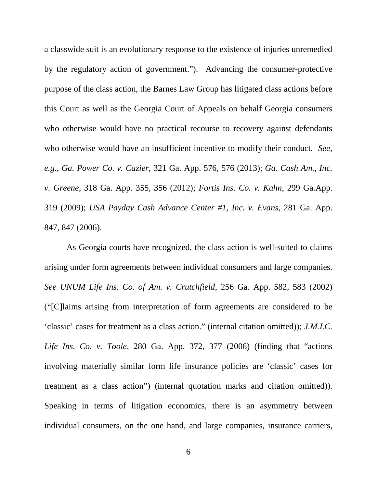a classwide suit is an evolutionary response to the existence of injuries unremedied by the regulatory action of government."). Advancing the consumer-protective purpose of the class action, the Barnes Law Group has litigated class actions before this Court as well as the Georgia Court of Appeals on behalf Georgia consumers who otherwise would have no practical recourse to recovery against defendants who otherwise would have an insufficient incentive to modify their conduct. *See, e.g.*, *Ga. Power Co. v. Cazier*, 321 Ga. App. 576, 576 (2013); *Ga. Cash Am., Inc. v. Greene*, 318 Ga. App. 355, 356 (2012); *Fortis Ins. Co. v. Kahn*, 299 Ga.App. 319 (2009); *USA Payday Cash Advance Center #1, Inc. v. Evans*, 281 Ga. App. 847, 847 (2006).

As Georgia courts have recognized, the class action is well-suited to claims arising under form agreements between individual consumers and large companies. *See UNUM Life Ins. Co. of Am. v. Crutchfield*, 256 Ga. App. 582, 583 (2002) ("[C]laims arising from interpretation of form agreements are considered to be 'classic' cases for treatment as a class action." (internal citation omitted)); *J.M.I.C. Life Ins. Co. v. Toole*, 280 Ga. App. 372, 377 (2006) (finding that "actions involving materially similar form life insurance policies are 'classic' cases for treatment as a class action") (internal quotation marks and citation omitted)). Speaking in terms of litigation economics, there is an asymmetry between individual consumers, on the one hand, and large companies, insurance carriers,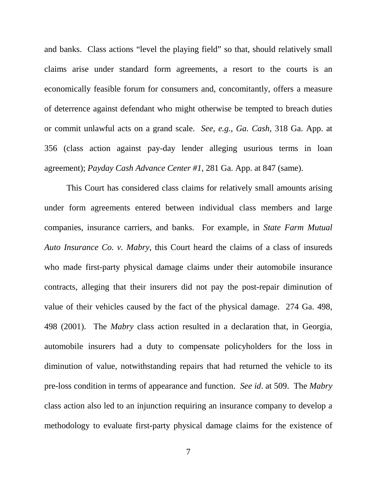and banks. Class actions "level the playing field" so that, should relatively small claims arise under standard form agreements, a resort to the courts is an economically feasible forum for consumers and, concomitantly, offers a measure of deterrence against defendant who might otherwise be tempted to breach duties or commit unlawful acts on a grand scale. *See, e.g.*, *Ga. Cash*, 318 Ga. App. at 356 (class action against pay-day lender alleging usurious terms in loan agreement); *Payday Cash Advance Center #1*, 281 Ga. App. at 847 (same).

This Court has considered class claims for relatively small amounts arising under form agreements entered between individual class members and large companies, insurance carriers, and banks. For example, in *State Farm Mutual Auto Insurance Co. v. Mabry*, this Court heard the claims of a class of insureds who made first-party physical damage claims under their automobile insurance contracts, alleging that their insurers did not pay the post-repair diminution of value of their vehicles caused by the fact of the physical damage. 274 Ga. 498, 498 (2001). The *Mabry* class action resulted in a declaration that, in Georgia, automobile insurers had a duty to compensate policyholders for the loss in diminution of value, notwithstanding repairs that had returned the vehicle to its pre-loss condition in terms of appearance and function. *See id*. at 509. The *Mabry* class action also led to an injunction requiring an insurance company to develop a methodology to evaluate first-party physical damage claims for the existence of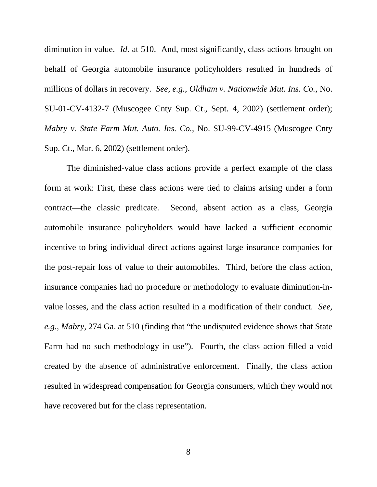diminution in value. *Id.* at 510. And, most significantly, class actions brought on behalf of Georgia automobile insurance policyholders resulted in hundreds of millions of dollars in recovery. *See, e.g.*, *Oldham v. Nationwide Mut. Ins. Co.*, No. SU-01-CV-4132-7 (Muscogee Cnty Sup. Ct., Sept. 4, 2002) (settlement order); *Mabry v. State Farm Mut. Auto. Ins. Co.*, No. SU-99-CV-4915 (Muscogee Cnty Sup. Ct., Mar. 6, 2002) (settlement order).

The diminished-value class actions provide a perfect example of the class form at work: First, these class actions were tied to claims arising under a form contract—the classic predicate. Second, absent action as a class, Georgia automobile insurance policyholders would have lacked a sufficient economic incentive to bring individual direct actions against large insurance companies for the post-repair loss of value to their automobiles. Third, before the class action, insurance companies had no procedure or methodology to evaluate diminution-invalue losses, and the class action resulted in a modification of their conduct. *See, e.g.*, *Mabry*, 274 Ga. at 510 (finding that "the undisputed evidence shows that State Farm had no such methodology in use"). Fourth, the class action filled a void created by the absence of administrative enforcement. Finally, the class action resulted in widespread compensation for Georgia consumers, which they would not have recovered but for the class representation.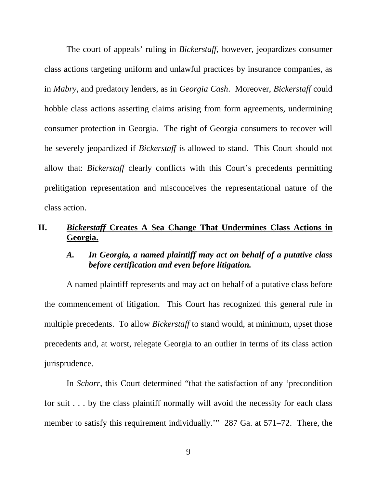The court of appeals' ruling in *Bickerstaff*, however, jeopardizes consumer class actions targeting uniform and unlawful practices by insurance companies, as in *Mabry*, and predatory lenders, as in *Georgia Cash*. Moreover, *Bickerstaff* could hobble class actions asserting claims arising from form agreements, undermining consumer protection in Georgia. The right of Georgia consumers to recover will be severely jeopardized if *Bickerstaff* is allowed to stand. This Court should not allow that: *Bickerstaff* clearly conflicts with this Court's precedents permitting prelitigation representation and misconceives the representational nature of the class action.

## <span id="page-12-0"></span>**II.** *Bickerstaff* **Creates A Sea Change That Undermines Class Actions in Georgia.**

## <span id="page-12-1"></span>*A. In Georgia, a named plaintiff may act on behalf of a putative class before certification and even before litigation.*

A named plaintiff represents and may act on behalf of a putative class before the commencement of litigation. This Court has recognized this general rule in multiple precedents. To allow *Bickerstaff* to stand would, at minimum, upset those precedents and, at worst, relegate Georgia to an outlier in terms of its class action jurisprudence.

In *Schorr*, this Court determined "that the satisfaction of any 'precondition for suit . . . by the class plaintiff normally will avoid the necessity for each class member to satisfy this requirement individually." 287 Ga. at 571–72. There, the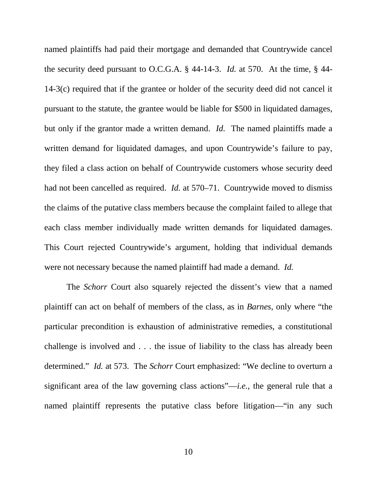named plaintiffs had paid their mortgage and demanded that Countrywide cancel the security deed pursuant to O.C.G.A. § 44-14-3. *Id.* at 570. At the time, § 44- 14-3(c) required that if the grantee or holder of the security deed did not cancel it pursuant to the statute, the grantee would be liable for \$500 in liquidated damages, but only if the grantor made a written demand. *Id.* The named plaintiffs made a written demand for liquidated damages, and upon Countrywide's failure to pay, they filed a class action on behalf of Countrywide customers whose security deed had not been cancelled as required. *Id.* at 570–71. Countrywide moved to dismiss the claims of the putative class members because the complaint failed to allege that each class member individually made written demands for liquidated damages. This Court rejected Countrywide's argument, holding that individual demands were not necessary because the named plaintiff had made a demand. *Id.*

The *Schorr* Court also squarely rejected the dissent's view that a named plaintiff can act on behalf of members of the class, as in *Barnes*, only where "the particular precondition is exhaustion of administrative remedies, a constitutional challenge is involved and . . . the issue of liability to the class has already been determined." *Id.* at 573. The *Schorr* Court emphasized: "We decline to overturn a significant area of the law governing class actions"—*i.e.*, the general rule that a named plaintiff represents the putative class before litigation—"in any such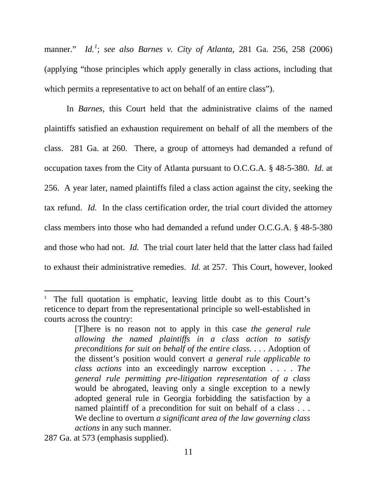manner." *Id.[1](#page-14-0)* ; *see also Barnes v. City of Atlanta*, 281 Ga. 256, 258 (2006) (applying "those principles which apply generally in class actions, including that which permits a representative to act on behalf of an entire class".

In *Barnes*, this Court held that the administrative claims of the named plaintiffs satisfied an exhaustion requirement on behalf of all the members of the class. 281 Ga. at 260. There, a group of attorneys had demanded a refund of occupation taxes from the City of Atlanta pursuant to O.C.G.A. § 48-5-380. *Id.* at 256. A year later, named plaintiffs filed a class action against the city, seeking the tax refund. *Id.* In the class certification order, the trial court divided the attorney class members into those who had demanded a refund under O.C.G.A. § 48-5-380 and those who had not. *Id.* The trial court later held that the latter class had failed to exhaust their administrative remedies. *Id.* at 257. This Court, however, looked

<span id="page-14-0"></span> $\overline{1}$ <sup>1</sup> The full quotation is emphatic, leaving little doubt as to this Court's reticence to depart from the representational principle so well-established in courts across the country:

<sup>[</sup>T]here is no reason not to apply in this case *the general rule allowing the named plaintiffs in a class action to satisfy preconditions for suit on behalf of the entire class.* . . . Adoption of the dissent's position would convert *a general rule applicable to class actions* into an exceedingly narrow exception . . . . *The general rule permitting pre-litigation representation of a class* would be abrogated, leaving only a single exception to a newly adopted general rule in Georgia forbidding the satisfaction by a named plaintiff of a precondition for suit on behalf of a class . . . We decline to overturn *a significant area of the law governing class actions* in any such manner.

<sup>287</sup> Ga. at 573 (emphasis supplied).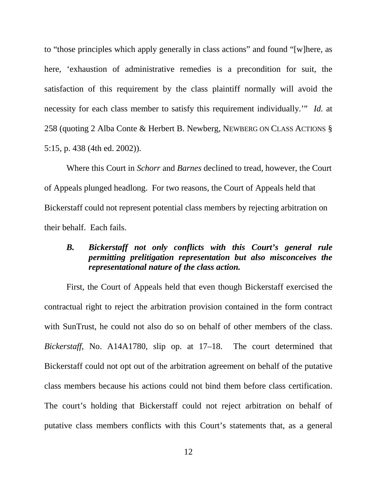to "those principles which apply generally in class actions" and found "[w]here, as here, 'exhaustion of administrative remedies is a precondition for suit, the satisfaction of this requirement by the class plaintiff normally will avoid the necessity for each class member to satisfy this requirement individually.'" *Id.* at 258 (quoting 2 Alba Conte & Herbert B. Newberg, NEWBERG ON CLASS ACTIONS § 5:15, p. 438 (4th ed. 2002)).

Where this Court in *Schorr* and *Barnes* declined to tread, however, the Court of Appeals plunged headlong. For two reasons, the Court of Appeals held that Bickerstaff could not represent potential class members by rejecting arbitration on their behalf. Each fails.

## <span id="page-15-0"></span>*B. Bickerstaff not only conflicts with this Court's general rule permitting prelitigation representation but also misconceives the representational nature of the class action.*

First, the Court of Appeals held that even though Bickerstaff exercised the contractual right to reject the arbitration provision contained in the form contract with SunTrust, he could not also do so on behalf of other members of the class. *Bickerstaff*, No. A14A1780, slip op. at 17–18.The court determined that Bickerstaff could not opt out of the arbitration agreement on behalf of the putative class members because his actions could not bind them before class certification. The court's holding that Bickerstaff could not reject arbitration on behalf of putative class members conflicts with this Court's statements that, as a general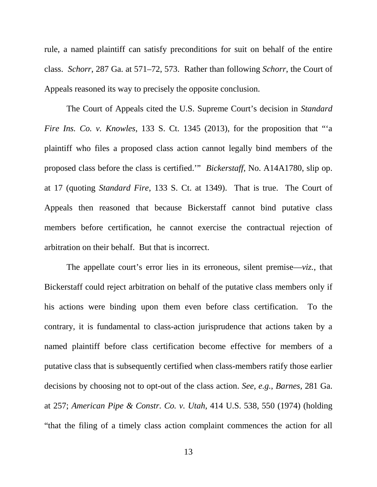rule, a named plaintiff can satisfy preconditions for suit on behalf of the entire class. *Schorr*, 287 Ga. at 571–72, 573. Rather than following *Schorr*, the Court of Appeals reasoned its way to precisely the opposite conclusion.

The Court of Appeals cited the U.S. Supreme Court's decision in *Standard Fire Ins. Co. v. Knowles*, 133 S. Ct. 1345 (2013), for the proposition that "'a plaintiff who files a proposed class action cannot legally bind members of the proposed class before the class is certified.'" *Bickerstaff*, No. A14A1780, slip op. at 17 (quoting *Standard Fire*, 133 S. Ct. at 1349). That is true. The Court of Appeals then reasoned that because Bickerstaff cannot bind putative class members before certification, he cannot exercise the contractual rejection of arbitration on their behalf. But that is incorrect.

The appellate court's error lies in its erroneous, silent premise—*viz.*, that Bickerstaff could reject arbitration on behalf of the putative class members only if his actions were binding upon them even before class certification. To the contrary, it is fundamental to class-action jurisprudence that actions taken by a named plaintiff before class certification become effective for members of a putative class that is subsequently certified when class-members ratify those earlier decisions by choosing not to opt-out of the class action. *See, e.g.*, *Barnes*, 281 Ga. at 257; *American Pipe & Constr. Co. v. Utah*, 414 U.S. 538, 550 (1974) (holding "that the filing of a timely class action complaint commences the action for all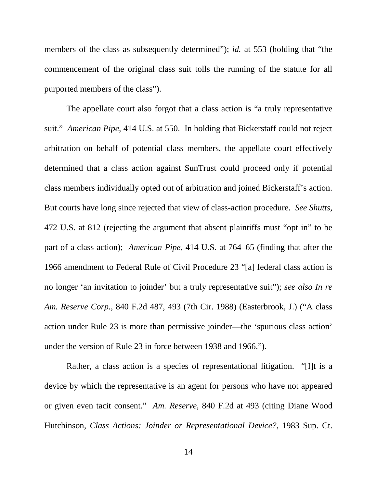members of the class as subsequently determined"); *id.* at 553 (holding that "the commencement of the original class suit tolls the running of the statute for all purported members of the class").

The appellate court also forgot that a class action is "a truly representative suit." *American Pipe*, 414 U.S. at 550. In holding that Bickerstaff could not reject arbitration on behalf of potential class members, the appellate court effectively determined that a class action against SunTrust could proceed only if potential class members individually opted out of arbitration and joined Bickerstaff's action. But courts have long since rejected that view of class-action procedure. *See Shutts*, 472 U.S. at 812 (rejecting the argument that absent plaintiffs must "opt in" to be part of a class action); *American Pipe*, 414 U.S. at 764–65 (finding that after the 1966 amendment to Federal Rule of Civil Procedure 23 "[a] federal class action is no longer 'an invitation to joinder' but a truly representative suit"); *see also In re Am. Reserve Corp.*, 840 F.2d 487, 493 (7th Cir. 1988) (Easterbrook, J.) ("A class action under Rule 23 is more than permissive joinder—the 'spurious class action' under the version of Rule 23 in force between 1938 and 1966.").

Rather, a class action is a species of representational litigation. "[I]t is a device by which the representative is an agent for persons who have not appeared or given even tacit consent." *Am. Reserve*, 840 F.2d at 493 (citing Diane Wood Hutchinson, *Class Actions: Joinder or Representational Device?*, 1983 Sup. Ct.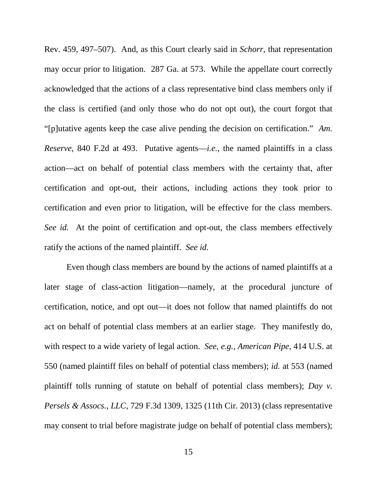Rev. 459, 497–507). And, as this Court clearly said in *Schorr*, that representation may occur prior to litigation. 287 Ga. at 573. While the appellate court correctly acknowledged that the actions of a class representative bind class members only if the class is certified (and only those who do not opt out), the court forgot that "[p]utative agents keep the case alive pending the decision on certification." *Am. Reserve*, 840 F.2d at 493. Putative agents—*i.e.*, the named plaintiffs in a class action—act on behalf of potential class members with the certainty that, after certification and opt-out, their actions, including actions they took prior to certification and even prior to litigation, will be effective for the class members. *See id.* At the point of certification and opt-out, the class members effectively ratify the actions of the named plaintiff. *See id.*

Even though class members are bound by the actions of named plaintiffs at a later stage of class-action litigation—namely, at the procedural juncture of certification, notice, and opt out—it does not follow that named plaintiffs do not act on behalf of potential class members at an earlier stage. They manifestly do, with respect to a wide variety of legal action. *See, e.g.*, *American Pipe*, 414 U.S. at 550 (named plaintiff files on behalf of potential class members); *id.* at 553 (named plaintiff tolls running of statute on behalf of potential class members); *Day v. Persels & Assocs., LLC*, 729 F.3d 1309, 1325 (11th Cir. 2013) (class representative may consent to trial before magistrate judge on behalf of potential class members);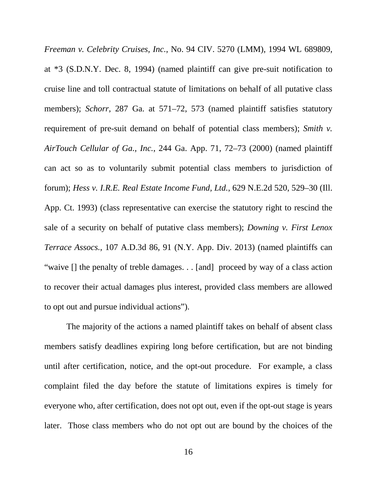*Freeman v. Celebrity Cruises, Inc.*, No. 94 CIV. 5270 (LMM), 1994 WL 689809, at \*3 (S.D.N.Y. Dec. 8, 1994) (named plaintiff can give pre-suit notification to cruise line and toll contractual statute of limitations on behalf of all putative class members); *Schorr*, 287 Ga. at 571–72, 573 (named plaintiff satisfies statutory requirement of pre-suit demand on behalf of potential class members); *Smith v. AirTouch Cellular of Ga., Inc.*, 244 Ga. App. 71, 72–73 (2000) (named plaintiff can act so as to voluntarily submit potential class members to jurisdiction of forum); *Hess v. I.R.E. Real Estate Income Fund, Ltd.*, 629 N.E.2d 520, 529–30 (Ill. App. Ct. 1993) (class representative can exercise the statutory right to rescind the sale of a security on behalf of putative class members); *Downing v. First Lenox Terrace Assocs.*, 107 A.D.3d 86, 91 (N.Y. App. Div. 2013) (named plaintiffs can "waive [] the penalty of treble damages. . . [and] proceed by way of a class action to recover their actual damages plus interest, provided class members are allowed to opt out and pursue individual actions").

The majority of the actions a named plaintiff takes on behalf of absent class members satisfy deadlines expiring long before certification, but are not binding until after certification, notice, and the opt-out procedure. For example, a class complaint filed the day before the statute of limitations expires is timely for everyone who, after certification, does not opt out, even if the opt-out stage is years later. Those class members who do not opt out are bound by the choices of the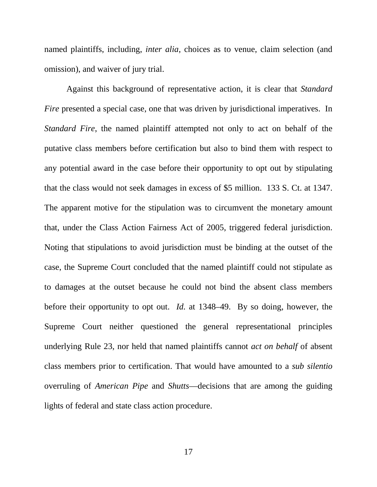named plaintiffs, including, *inter alia*, choices as to venue, claim selection (and omission), and waiver of jury trial.

Against this background of representative action, it is clear that *Standard Fire* presented a special case, one that was driven by jurisdictional imperatives. In *Standard Fire*, the named plaintiff attempted not only to act on behalf of the putative class members before certification but also to bind them with respect to any potential award in the case before their opportunity to opt out by stipulating that the class would not seek damages in excess of \$5 million. 133 S. Ct. at 1347. The apparent motive for the stipulation was to circumvent the monetary amount that, under the Class Action Fairness Act of 2005, triggered federal jurisdiction. Noting that stipulations to avoid jurisdiction must be binding at the outset of the case, the Supreme Court concluded that the named plaintiff could not stipulate as to damages at the outset because he could not bind the absent class members before their opportunity to opt out. *Id.* at 1348–49. By so doing, however, the Supreme Court neither questioned the general representational principles underlying Rule 23, nor held that named plaintiffs cannot *act on behalf* of absent class members prior to certification. That would have amounted to a *sub silentio* overruling of *American Pipe* and *Shutts*—decisions that are among the guiding lights of federal and state class action procedure.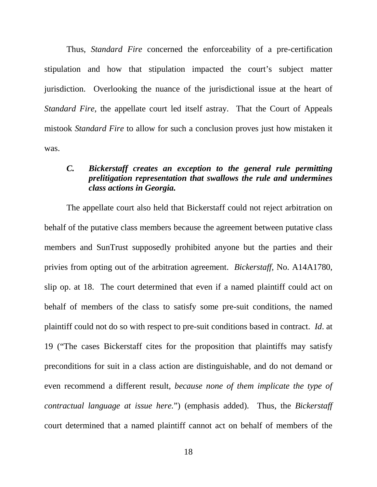Thus, *Standard Fire* concerned the enforceability of a pre-certification stipulation and how that stipulation impacted the court's subject matter jurisdiction. Overlooking the nuance of the jurisdictional issue at the heart of *Standard Fire*, the appellate court led itself astray. That the Court of Appeals mistook *Standard Fire* to allow for such a conclusion proves just how mistaken it was.

## <span id="page-21-0"></span>*C. Bickerstaff creates an exception to the general rule permitting prelitigation representation that swallows the rule and undermines class actions in Georgia.*

The appellate court also held that Bickerstaff could not reject arbitration on behalf of the putative class members because the agreement between putative class members and SunTrust supposedly prohibited anyone but the parties and their privies from opting out of the arbitration agreement. *Bickerstaff*, No. A14A1780, slip op. at 18. The court determined that even if a named plaintiff could act on behalf of members of the class to satisfy some pre-suit conditions, the named plaintiff could not do so with respect to pre-suit conditions based in contract. *Id*. at 19 ("The cases Bickerstaff cites for the proposition that plaintiffs may satisfy preconditions for suit in a class action are distinguishable, and do not demand or even recommend a different result, *because none of them implicate the type of contractual language at issue here.*") (emphasis added). Thus, the *Bickerstaff* court determined that a named plaintiff cannot act on behalf of members of the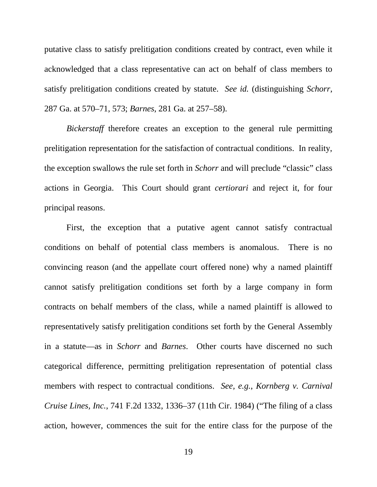putative class to satisfy prelitigation conditions created by contract, even while it acknowledged that a class representative can act on behalf of class members to satisfy prelitigation conditions created by statute. *See id.* (distinguishing *Schorr*, 287 Ga. at 570–71, 573; *Barnes*, 281 Ga. at 257–58).

*Bickerstaff* therefore creates an exception to the general rule permitting prelitigation representation for the satisfaction of contractual conditions. In reality, the exception swallows the rule set forth in *Schorr* and will preclude "classic" class actions in Georgia. This Court should grant *certiorari* and reject it, for four principal reasons.

First, the exception that a putative agent cannot satisfy contractual conditions on behalf of potential class members is anomalous. There is no convincing reason (and the appellate court offered none) why a named plaintiff cannot satisfy prelitigation conditions set forth by a large company in form contracts on behalf members of the class, while a named plaintiff is allowed to representatively satisfy prelitigation conditions set forth by the General Assembly in a statute—as in *Schorr* and *Barnes*. Other courts have discerned no such categorical difference, permitting prelitigation representation of potential class members with respect to contractual conditions. *See, e.g.*, *Kornberg v. Carnival Cruise Lines, Inc.*, 741 F.2d 1332, 1336–37 (11th Cir. 1984) ("The filing of a class action, however, commences the suit for the entire class for the purpose of the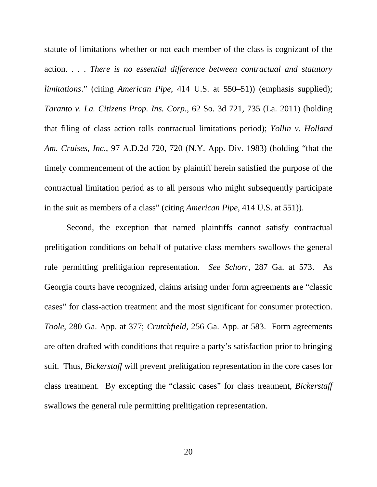statute of limitations whether or not each member of the class is cognizant of the action. . . . *There is no essential difference between contractual and statutory limitations*." (citing *American Pipe*, 414 U.S. at 550–51)) (emphasis supplied); *Taranto v. La. Citizens Prop. Ins. Corp*., 62 So. 3d 721, 735 (La. 2011) (holding that filing of class action tolls contractual limitations period); *Yollin v. Holland Am. Cruises, Inc.*, 97 A.D.2d 720, 720 (N.Y. App. Div. 1983) (holding "that the timely commencement of the action by plaintiff herein satisfied the purpose of the contractual limitation period as to all persons who might subsequently participate in the suit as members of a class" (citing *American Pipe*, 414 U.S. at 551)).

Second, the exception that named plaintiffs cannot satisfy contractual prelitigation conditions on behalf of putative class members swallows the general rule permitting prelitigation representation. *See Schorr*, 287 Ga. at 573. As Georgia courts have recognized, claims arising under form agreements are "classic cases" for class-action treatment and the most significant for consumer protection. *Toole*, 280 Ga. App. at 377; *Crutchfield*, 256 Ga. App. at 583. Form agreements are often drafted with conditions that require a party's satisfaction prior to bringing suit. Thus, *Bickerstaff* will prevent prelitigation representation in the core cases for class treatment. By excepting the "classic cases" for class treatment, *Bickerstaff*  swallows the general rule permitting prelitigation representation.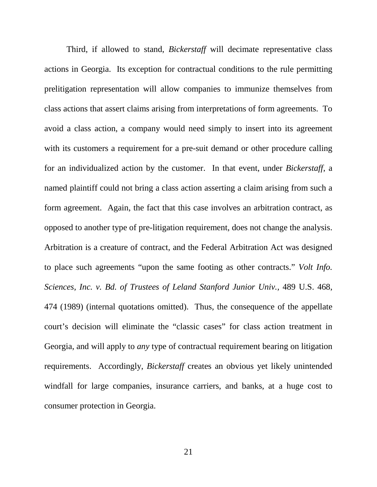Third, if allowed to stand, *Bickerstaff* will decimate representative class actions in Georgia. Its exception for contractual conditions to the rule permitting prelitigation representation will allow companies to immunize themselves from class actions that assert claims arising from interpretations of form agreements. To avoid a class action, a company would need simply to insert into its agreement with its customers a requirement for a pre-suit demand or other procedure calling for an individualized action by the customer. In that event, under *Bickerstaff*, a named plaintiff could not bring a class action asserting a claim arising from such a form agreement. Again, the fact that this case involves an arbitration contract, as opposed to another type of pre-litigation requirement, does not change the analysis. Arbitration is a creature of contract, and the Federal Arbitration Act was designed to place such agreements "upon the same footing as other contracts." *Volt Info. Sciences, Inc. v. Bd. of Trustees of Leland Stanford Junior Univ.,* 489 U.S. 468, 474 (1989) (internal quotations omitted). Thus, the consequence of the appellate court's decision will eliminate the "classic cases" for class action treatment in Georgia, and will apply to *any* type of contractual requirement bearing on litigation requirements. Accordingly, *Bickerstaff* creates an obvious yet likely unintended windfall for large companies, insurance carriers, and banks, at a huge cost to consumer protection in Georgia.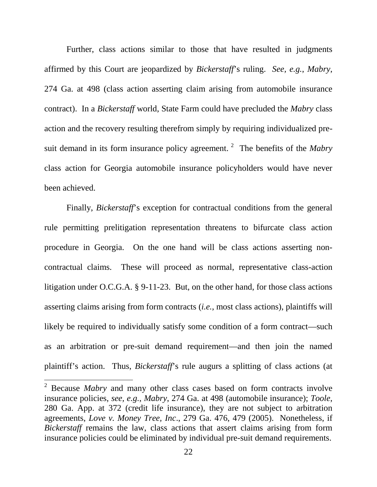Further, class actions similar to those that have resulted in judgments affirmed by this Court are jeopardized by *Bickerstaff*'s ruling. *See, e.g.*, *Mabry*, 274 Ga. at 498 (class action asserting claim arising from automobile insurance contract). In a *Bickerstaff* world, State Farm could have precluded the *Mabry* class action and the recovery resulting therefrom simply by requiring individualized pre-suit demand in its form insurance policy agreement.<sup>[2](#page-25-0)</sup> The benefits of the *Mabry* class action for Georgia automobile insurance policyholders would have never been achieved.

Finally, *Bickerstaff*'s exception for contractual conditions from the general rule permitting prelitigation representation threatens to bifurcate class action procedure in Georgia. On the one hand will be class actions asserting noncontractual claims. These will proceed as normal, representative class-action litigation under O.C.G.A. § 9-11-23. But, on the other hand, for those class actions asserting claims arising from form contracts (*i.e.*, most class actions), plaintiffs will likely be required to individually satisfy some condition of a form contract—such as an arbitration or pre-suit demand requirement—and then join the named plaintiff's action. Thus, *Bickerstaff*'s rule augurs a splitting of class actions (at

<span id="page-25-0"></span><sup>2</sup> Because *Mabry* and many other class cases based on form contracts involve insurance policies, *see, e.g.*, *Mabry*, 274 Ga. at 498 (automobile insurance); *Toole*, 280 Ga. App. at 372 (credit life insurance), they are not subject to arbitration agreements, *Love v. Money Tree, Inc*., 279 Ga. 476, 479 (2005). Nonetheless, if *Bickerstaff* remains the law, class actions that assert claims arising from form insurance policies could be eliminated by individual pre-suit demand requirements.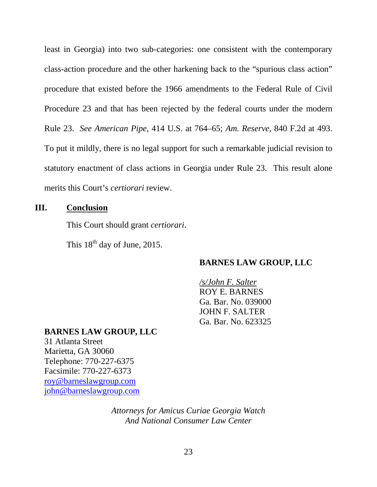least in Georgia) into two sub-categories: one consistent with the contemporary class-action procedure and the other harkening back to the "spurious class action" procedure that existed before the 1966 amendments to the Federal Rule of Civil Procedure 23 and that has been rejected by the federal courts under the modern Rule 23. *See American Pipe*, 414 U.S. at 764–65; *Am. Reserve*, 840 F.2d at 493. To put it mildly, there is no legal support for such a remarkable judicial revision to statutory enactment of class actions in Georgia under Rule 23. This result alone merits this Court's *certiorari* review.

#### <span id="page-26-0"></span>**III. Conclusion**

This Court should grant *certiorari*.

This  $18<sup>th</sup>$  day of June, 2015.

#### **BARNES LAW GROUP, LLC**

*/s/John F. Salter*  ROY E. BARNES Ga. Bar. No. 039000 JOHN F. SALTER Ga. Bar. No. 623325

#### **BARNES LAW GROUP, LLC**

31 Atlanta Street Marietta, GA 30060 Telephone: 770-227-6375 Facsimile: 770-227-6373 [roy@barneslawgroup.com](mailto:roy@barneslawgroup.com) [john@barneslawgroup.com](mailto:john@barneslawgroup.com)

> *Attorneys for Amicus Curiae Georgia Watch And National Consumer Law Center*